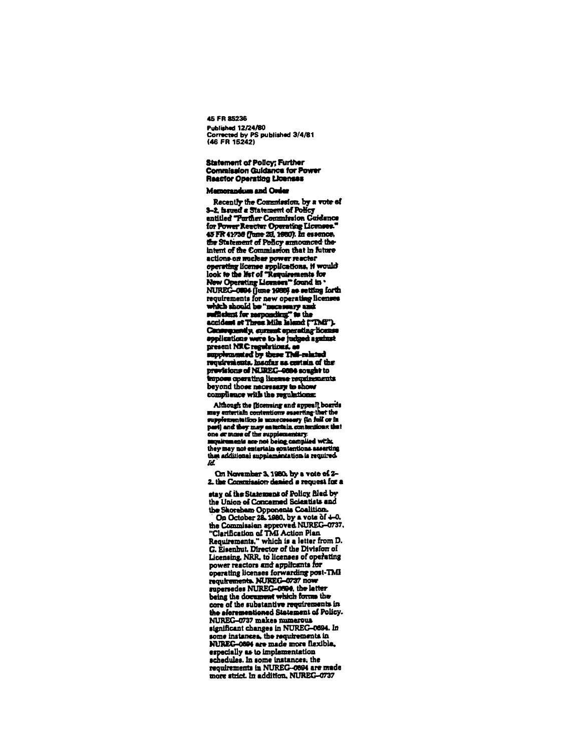45 FR 85236 **Published 12/24/80** Corrected by PS published 3/4/81<br>(46 FR 15242)

# Statement of Policy; Further<br>Commission Guidance for Power **Reactor Operating Licenses**

# Memorandum and Order

Recently the Commission, by a vote of 3-2, issued a Statement of Policy entitled "Purther Commission Guidance for Power Reactor Operating Licenses. the Statement of Policy announced theintent of the Commission that in future actions on maclear power reactor operating license applications, if would<br>look to the list of "Requirements for New Operating Licenses" found in 'NIREG-0004 (June 1980) as setting forth requirements for new operating licenses which should be "necessary and accident at Three Mile leland ("TMB"). Consequently, current sperating licen applications were to be judged against present NRC regulations, as supplemented by these This-related requirements. Insufar as certain of the previsions of NUREC-0004 sought to impose operating license requirements beyond those necessary to show compliance with the regulations:

Although the [licensing and appeal] boards may entertain contentions asserting that the supplementation is unnecessary (in full or in part) and they may entertain contemnions that<br>one or iture of the supplementary.<br>suquirements are not being complied with they may not entertain contentions asserting thes additional supplementation is required. ld.

On November 3, 1980, by a vote of 2-2. the Commission denied a request for a

stay of the Statement of Policy filed by the Union of Concerned Scientists and the Shoreham Opponents Coalition.

the Saorenam Opponents Control of 4-0.<br>
Ca October 28, 1990, by a vote of 4-0.<br>
the Commission approved NUREC-0737.<br>
"Clarification of TMI Action Plan<br>
Requirements." which is a letter from D. G. Eisenhut, Director of the Division of Licensing, NRR, to licenses of operating power reactors and applicants for operating licenses forwarding post-TMI<br>requirements. NUREG-0737 now supersedes NUREC-0094, the latter being the document which forms the core of the substantive requirements in the eforementioned Statement of Policy. NUREG-0737 makes numerous significant changes in NUREG-0694. In some instances, the requirements in NUREC-0604 are made more flexible. especially as to implementation schedules. In some instances, the requirements in NUREG-0894 are made more strict. In addition, NUREG-0737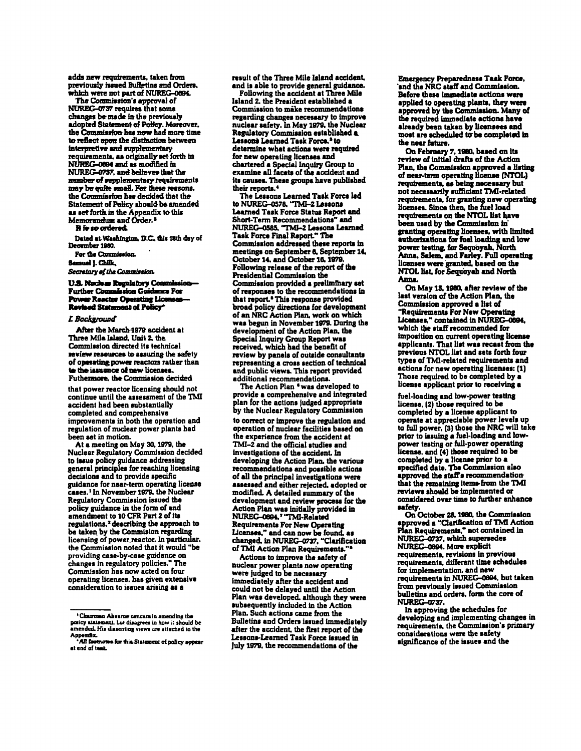adds new requirements, taken from previously issued Bulletins and Orders. which were not part of NUREG-0894.

The Commission's approval of NUREG-0737 requires that some changes be made in the previously adopted Statement of Policy. Moreover, the Commission has now had more time to reflect upon the distinction between interpretive and supplementary requirements, as originally set forth in NUREG-0004 and as modified in NUREG-0737, and believes that the number of supplementary requirements may be quite small. For these reasons, the Commission has decided that the Statement of Policy should be amended as set forth in the Appendix to this Memorandum and Order.<sup>2</sup>

#### **H** is so ordered.

Dated at Washington, D.C., this 18th day of December 1980.

For the Commission.

Samuel J. Chilk,

Secretary of the Commission.

# U.S. Nuclear Regulatory Commission-Further Commission Guidence For Power Reactor Operating Licenses Revised Statement of Policy

## **I. Backeround**

After the March-1979 accident at Three Mile Island, Unit 2, the Commission directed its technical review resources to assuring the safety of operating power reactors rather than to the issuance of new licenses. Futhermore, the Commission decided

that power reactor licensing should not continue until the assessment of the TMI accident had been substantially completed and comprehensive improvements in both the operation and regulation of nuclear power plants had been set in motion.

At a meeting on May 30, 1979, the Nuclear Regulatory Commission decided to issue policy guidance addressing general principles for reaching licensing decisions and to provide specific guidance for near-term operating license cases.<sup>1</sup> In November 1979, the Nuclear Regulatory Commission issued the policy guidance in the form of and amendment to 10 CFR Part 2 of its regulations,<sup>2</sup> describing the approach to be taken by the Commision regarding licensing of power reactor. In particular, the Commission noted that it would "be providing case-by-case guidance on changes in regulatory policies." The Commission has now acted on four operating licenses, has given extensive consideration to issues arising as a

result of the Three Mile Island accident. and is able to provide general guidance.

Following the accident at Three Mile Island 2, the President established a Commission to make recommendations regarding changes necessary to improve nuclear safety. In May 1979, the Nuclear Regulatory Commission established a Lessons Learned Task Force,<sup>3</sup> to determine what actions were required for new operating licenses and chartered a Special Inquiry Group to examine all facets of the accident and its causes. These groups have published their reports.<sup>4</sup>

The Lessons Learned Task Force led<br>to NUREG-0578, "TMI-2 Lessons Learned Task Force Status Report and Short-Term Recommendations" and NUREG-0585, "TMI-2 Lessons Learned Task Force Final Report." The Commission addressed these reports in meetings on September 6, September 14, October 14, and October 16, 1979. Following release of the report of the Presidential Commission the Commission provided a preliminary set of responses to the recommendations in that report.<sup>6</sup> This response provided broad policy directions for development of an NRC Action Plan, work on which was begun in November 1979. During the development of the Action Plan, the Special Inquiry Group Report was received, which had the benefit of review by panels of outside consultants representing a cross section of technical and public views. This report provided additional recommendations.

The Action Plan 'was developed to provide a comprehensive and integrated plan for the actions judged appropriate by the Nuclear Regulatory Commission to correct or improve the regulation and operation of nuclear facilities based on the experience from the accident at TMI-2 and the official studies and investigations of the accident. In developing the Action Plan, the various recommendations and possible actions of all the principal investigations were assessed and either rejected, adopted or modified. A detailed summary of the development and review process for the Action Plan was initially provided in NUREG-0894.7 "TMI-Related **Requirements For New Operating** Licenses," and can now be found, as changed, in NUREG-0737, "Clarification of TMI Action Plan Requirements."<sup>8</sup>

Actions to improve the safety of nuclear power plants now operating were judged to be necessary immediately after the accident and could not be delayed until the Action Plan was developed, although they were subsequently included in the Action Plan. Such actions came from the Bulletins and Orders issued immediately after the accident, the first report of the Lessons-Learned Task Force issued in July 1979, the recommendations of the

**Emergency Preparedness Task Force,** and the NRC staff and Commission. Before these immediate actions were applied to operating plants, they were approved by the Commission. Many of already been taken by licensees and most are scheduled to be completed in the near future.

On February 7, 1980, based on its<br>review of initial drafts of the Action Plan, the Commission approved a listing of near-term operating license (NTOL) requirements, as being necessary but not necessarily sufficient TMI-related requirements, for granting new operating licenses. Since then, the fuel load requirements on the NTOL list have been used by the Commission in granting operating licenses, with limited authorizations for fuel loading and low power testing, for Sequoyah. North Anna, Salem, and Farley. Full operating licenses were granted, based on the<br>NTOL list, for Sequoyah and North Anna.

On May 15, 1980, after review of the last version of the Action Plan, the Commission approved a list of Requirements For New Operating Licenses," contained in NUREG-0894, which the staff recommended for imposition on current operating license applicants. That list was recast from the previous NTOL list and sets forth four types of TMI-related requirements and actions for new operating licenses: (1) Those required to be completed by a license applicant prior to receiving a

fuel-loading and low-power testing license, (2) those required to be completed by a license applicant to operate at appreciable power levels up to full power. (3) those the NRC will take prior to issuing a fuel-loading and lowpower testing or full-power operating<br>license, and (4) those required to be completed by a license prior to a specified date. The Commission also approved the staff's recommendationthat the remaining items from the TMI reviews should be implemented or considered over time to further enhance safety.

sarey.<br>On October 28, 1980, the Commission<br>approved a "Clarification of TMI Action<br>Plan Requirements," not contained in NUREG-0737, which supersedes NUREG-0694. More explicit requirements, revisions in previous requirements, different time schedules for implementation, and new requirements in NUREG-0894, but taken from previously issued Commission bulletins and orders, form the core of **NUREG-0737.** 

In approving the schedules for developing and implementing changes in requirements, the Commission's primary considerations were the safety significance of the issues and the

<sup>&</sup>lt;sup>1</sup> Chairman Abearne concura in amending the posicy atatement, but disagrees in how it should be amended. His dissenting views are attached to the

Appendix.<br>\*All features for this Statement of policy appear at end of test.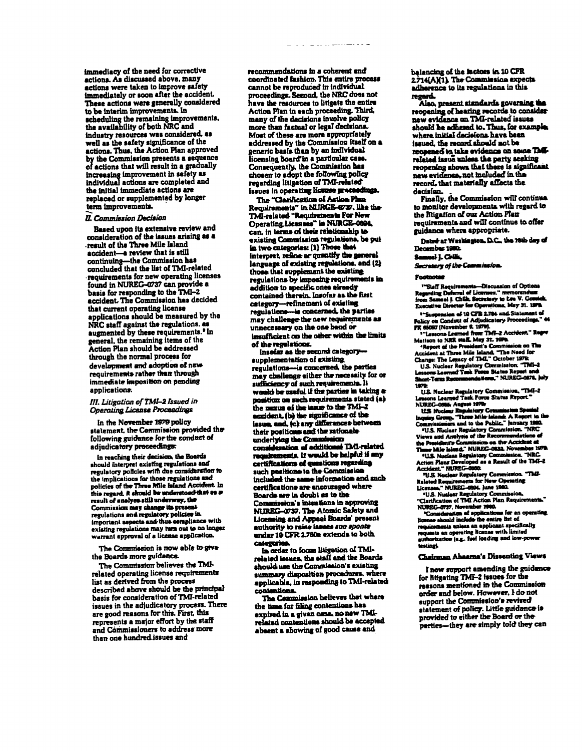immediacy of the need for corrective actions. As discussed above, many actions were taken to improve safety immediately or soon after the accident. These actions were generally considered to be interim improvements. In scheduling the remaining improvements. the availability of both NRC and industry resources was considered, as well as the safety significance of the actions. Thus, the Action Pian approved by the Commission presents a sequence of actions that will result in a gradually increasing improvement in safety as individual actions are completed and the initial immediate actions are replaced or supplemented by longer term improvements.

#### **II. Commission Decision**

Based upon its extensive review and consideration of the issues arising as a result of the Three Mile Island accident-a review that is still continuing-the Commission has<br>concluded that the list of TMI-related requirements for new operating licenses found in NUREG-0737 can provide a basis for responding to the TMI-2 accident. The Commission has decided that current operating license applications should be measured by the NRC staff against the regulations. as augmented by these requirements.<sup>•</sup> In general, the remaining items of the Action Plan should be addressed through the normal process for development and adoption of new requirements rather than through immediate imposition on pending applications.

# III. Litigation of TMI-2 Issued in **Operating License Proceedings**

In the November 1979 policy statement, the Commission provided the following guidance for the conduct of adjudicatory proceedings:

In reaching their decision, the Boards should interpret existing regulations and requisitory policies with the consideration to<br>the implications for those regulations and policies of the Three Mile Island Accident. In<br>this regard, it should be understood that as a result of analyes still underway, the Commission may change its present regulations and regulatory policies in important aspects and thus compliance with existing regulations may turn out to no longer warrant approval of a license application.

The Commission is now able to give the Boards more guidence.

The Commission believes the TMIrelated operating license requirements list as derived from the process described above should be the principal basis for consideration of TMI-related issues in the adjudicatory process. There are good reasons for this. First, this represents a major effort by the staff and Commissioners to address more than one hundred issues and

recommendations in a coherent and coordinated fashion. This entire process cannot be reproduced in individual proceedings. Second, the NRC does not have the resources to litigate the entire Action Plan in each proceeding. Third, many of the decisions involve policy more than factual or legal decisions. Most of these are more appropriately addressed by the Commission itself on a generic basis than by an individual licensing board in a particular case. Consequently, the Commission has chosen to adopt the following policy issues in operating licance proceedings

The "Clarification of Action Phan Requirements" in NURGE-9737. like the TMI-related "Requirements For New Operating Licenses" in NURGE-0894. can, in terms of their relationship to existing Commission regulations, be nut in two categories: (1) Those that interpret, refine or quantify the general language of existing regulations, and (2) those that supplement the existing regulations by imposing requirements in addition to specific ones already contained therein. Insofar as the first category-refinement of existing regulations-is concerned, the parties may challenge the new requirements as unnecessary on the one hand or insufficient on the other within the limits of the regulations.

Insofar as the second categorysupplementation of existing regulations-is concerned, the parties may challenge either the nacessity for or sufficiency of such requirements. It worship he mustal if the parties in taking a position on such requirements stated (a) the mexus of the issue to the TMI-2 accident, (b) the significance of the issue, and, (c) any differences between their positions and the rationale underlying the Commission consideration of additional TMI-related requirements. If would be helpful if any certifications of questions regarding such pesitions to the Commission included the same information and such certifications are encouraged where Boards are in doubt as to the Commission's intentions in approving NUREG-0737. The Atomic Safety and Licensing and Appeal Boards' present authority to raise iasues suo sponte under 10 CFR 2.760a extends to both **Calegories** 

In order to focus litigation of TMIrelated issues, the staff and the Boards should use the Commission's existing summary disposition procedures, where applicable, in responding to TMI-related contentions.

The Cammission believes that where the time for filing contentions has expired in a given case, no new TMIrelated contentions should be accepted absent a showing of good cause and

halancing of the factors in 10 CFR 2.714(A)(1) The Commission expects adherence to its regulations in this regard.

Also, present standards governing the reopening of hearing records to consider new evidence on TMI-related issues should be adhesed to. Thus, for example. where initial decisions have been issued, the record should not be reconnect to take evidence on some TMLrelated issue unless the party seeking reopening shows that there is significant new evidence, not included in the record, that materially affects the decision.

Finally, the Commission will continue to monitor developments with regard to the Bigation of our Action Plan requirements and will continue to offer guidance where appropriate.

Dated at Weshington, D.C., the 18th day of December 1980. .<br>Samuel I. Civilia

**Secretary of the Commission.** 

#### *<u><u>Production</u>*</u>

"Staff Requirements-Discussion of Options<br>Regarding Deferral of Licenses." memorandum<br>from Samuel J. Chills. Secretary to Lee V. Gossi Executive Director for Operations, May 31. 1879.

<sup>2</sup>"Suspension of 10 CFB 2.784 and Statement of <sup>2</sup> "Suspension of 10 CFR 2.784 and Statement of Policy on Conduct of Adjudicatory Proceedings." 44<br>
FR 65067 (November 6, 1979).<br>
<sup>2</sup> "Lessons Lermed from TMF-2 Accident." Regret<br>
Matton to NRR staff. May 31.1999.<br>
<sup>2</sup> Re

Change: Inv Argacy of Arms. Commission: "TMI-2<br>| U.S. Nuclear Regulatory Commission: "TMI-2<br>|Short-Term Recommendations," NUREC-0878, July Short-Tarm Room 1979

uvu:<br>| U.S. Nuclear Regulatory Commission, "TMI-2<br>| Ansons Learned Task Porce Status Report."

Susonn Searce Team State State Search Speech NUREC-088s, August 1979:<br>
LES Nuclear Regulatory Commission Speeds<br>
Inquiry Group, "Three Mile Islands A Report to the<br>Commissioniers and to the Public." [anuary 1990.

Commissioners and to the reduc. remeary limit.<br>U.S. Niclass Regulatory Commission. "NRC<br>Views and Armlysis of the Recommendations of<br>the President's Consumersion on the Accident at<br>Times Mile island." NUREC-0832. November  $.1978$ 

The Nuclear Regulatory Commission. "NRC<br>Action Plans Developed as a Result of the TMI-2<br>Accident." NUREG-0000.

V.S. Nuclear Regulatory Commission. TMI-

VUS. Nuclear Regulatory Commission. That-Related Requirements for New Operating<br>Licenses. NUREC-0894. June 1980.<br>1981. "U.S. Nuslear Regulatory Commission.<br>"Clarification of TMI Action Pian Requirements."<br>NUREC-0787. Novem avuut m<br>testinek

# Chairman Abearna's Dissenting Views

I now support amending the guidence for htigating TMI-2 issues for the reasons mentioned in the Commission order and below. However, I do not support the Commission's revised statement of policy. Little guidance is provided to either the Board or the perties-they are simply told they can